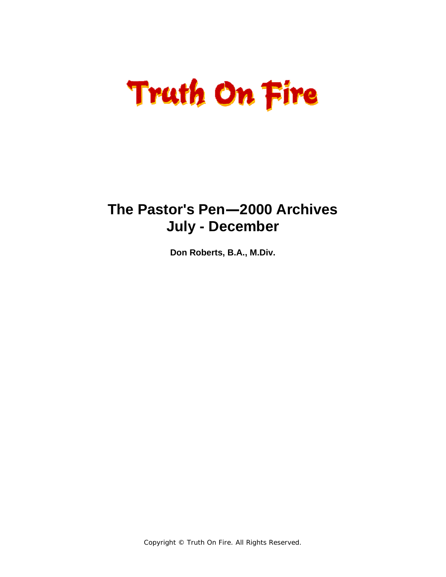# **Truth On Fire**

# **The Pastor's Pen—2000 Archives July - December**

**Don Roberts, B.A., M.Div.** 

Copyright © Truth On Fire. All Rights Reserved.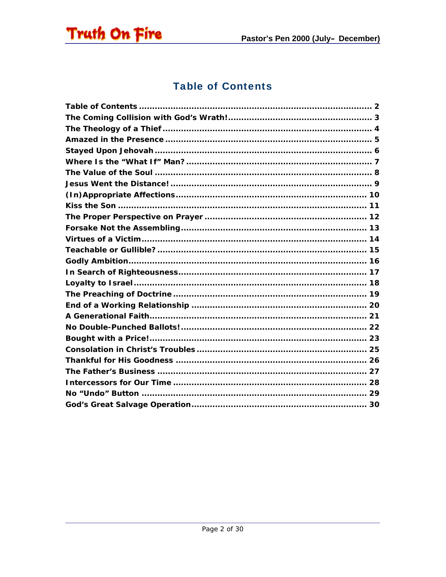<span id="page-1-0"></span>

# **Table of Contents**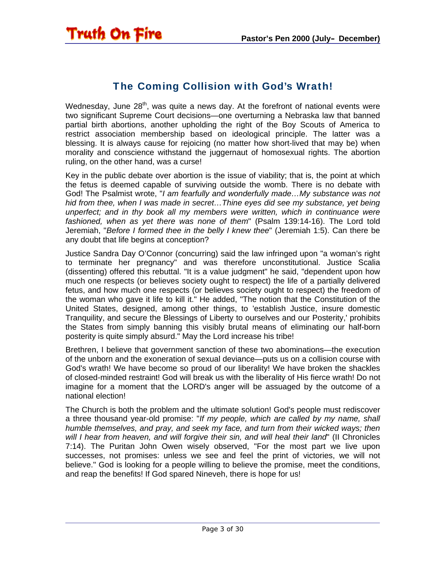<span id="page-2-0"></span>

## The Coming Collision with God's Wrath!

Wednesday, June  $28<sup>th</sup>$ , was quite a news day. At the forefront of national events were two significant Supreme Court decisions—one overturning a Nebraska law that banned partial birth abortions, another upholding the right of the Boy Scouts of America to restrict association membership based on ideological principle. The latter was a blessing. It is always cause for rejoicing (no matter how short-lived that may be) when morality and conscience withstand the juggernaut of homosexual rights. The abortion ruling, on the other hand, was a curse!

Key in the public debate over abortion is the issue of viability; that is, the point at which the fetus is deemed capable of surviving outside the womb. There is no debate with God! The Psalmist wrote, "*I am fearfully and wonderfully made…My substance was not hid from thee, when I was made in secret…Thine eyes did see my substance, yet being unperfect; and in thy book all my members were written, which in continuance were fashioned, when as yet there was none of them*" (Psalm 139:14-16). The Lord told Jeremiah, "*Before I formed thee in the belly I knew thee*" (Jeremiah 1:5). Can there be any doubt that life begins at conception?

Justice Sandra Day O'Connor (concurring) said the law infringed upon "a woman's right to terminate her pregnancy" and was therefore unconstitutional. Justice Scalia (dissenting) offered this rebuttal. "It is a value judgment" he said, "dependent upon how much one respects (or believes society ought to respect) the life of a partially delivered fetus, and how much one respects (or believes society ought to respect) the freedom of the woman who gave it life to kill it." He added, "The notion that the Constitution of the United States, designed, among other things, to 'establish Justice, insure domestic Tranquility, and secure the Blessings of Liberty to ourselves and our Posterity,' prohibits the States from simply banning this visibly brutal means of eliminating our half-born posterity is quite simply absurd." May the Lord increase his tribe!

Brethren, I believe that government sanction of these two abominations—the execution of the unborn and the exoneration of sexual deviance—puts us on a collision course with God's wrath! We have become so proud of our liberality! We have broken the shackles of closed-minded restraint! God will break us with the liberality of His fierce wrath! Do not imagine for a moment that the LORD's anger will be assuaged by the outcome of a national election!

The Church is both the problem and the ultimate solution! God's people must rediscover a three thousand year-old promise: "*If my people, which are called by my name, shall humble themselves, and pray, and seek my face, and turn from their wicked ways; then will I hear from heaven, and will forgive their sin, and will heal their land*" (II Chronicles 7:14). The Puritan John Owen wisely observed, "For the most part we live upon successes, not promises: unless we see and feel the print of victories, we will not believe." God is looking for a people willing to believe the promise, meet the conditions, and reap the benefits! If God spared Nineveh, there is hope for us!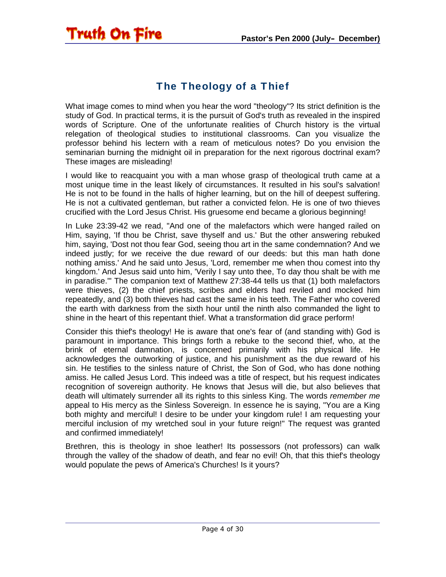# The Theology of a Thief

<span id="page-3-0"></span>**Truth On Fire** 

What image comes to mind when you hear the word "theology"? Its strict definition is the study of God. In practical terms, it is the pursuit of God's truth as revealed in the inspired words of Scripture. One of the unfortunate realities of Church history is the virtual relegation of theological studies to institutional classrooms. Can you visualize the professor behind his lectern with a ream of meticulous notes? Do you envision the seminarian burning the midnight oil in preparation for the next rigorous doctrinal exam? These images are misleading!

I would like to reacquaint you with a man whose grasp of theological truth came at a most unique time in the least likely of circumstances. It resulted in his soul's salvation! He is not to be found in the halls of higher learning, but on the hill of deepest suffering. He is not a cultivated gentleman, but rather a convicted felon. He is one of two thieves crucified with the Lord Jesus Christ. His gruesome end became a glorious beginning!

In Luke 23:39-42 we read, "And one of the malefactors which were hanged railed on Him, saying, 'If thou be Christ, save thyself and us.' But the other answering rebuked him, saying, 'Dost not thou fear God, seeing thou art in the same condemnation? And we indeed justly; for we receive the due reward of our deeds: but this man hath done nothing amiss.' And he said unto Jesus, 'Lord, remember me when thou comest into thy kingdom.' And Jesus said unto him, 'Verily I say unto thee, To day thou shalt be with me in paradise.'" The companion text of Matthew 27:38-44 tells us that (1) both malefactors were thieves, (2) the chief priests, scribes and elders had reviled and mocked him repeatedly, and (3) both thieves had cast the same in his teeth. The Father who covered the earth with darkness from the sixth hour until the ninth also commanded the light to shine in the heart of this repentant thief. What a transformation did grace perform!

Consider this thief's theology! He is aware that one's fear of (and standing with) God is paramount in importance. This brings forth a rebuke to the second thief, who, at the brink of eternal damnation, is concerned primarily with his physical life. He acknowledges the outworking of justice, and his punishment as the due reward of his sin. He testifies to the sinless nature of Christ, the Son of God, who has done nothing amiss. He called Jesus Lord. This indeed was a title of respect, but his request indicates recognition of sovereign authority. He knows that Jesus will die, but also believes that death will ultimately surrender all its rights to this sinless King. The words *remember me* appeal to His mercy as the Sinless Sovereign. In essence he is saying, "You are a King both mighty and merciful! I desire to be under your kingdom rule! I am requesting your merciful inclusion of my wretched soul in your future reign!" The request was granted and confirmed immediately!

Brethren, this is theology in shoe leather! Its possessors (not professors) can walk through the valley of the shadow of death, and fear no evil! Oh, that this thief's theology would populate the pews of America's Churches! Is it yours?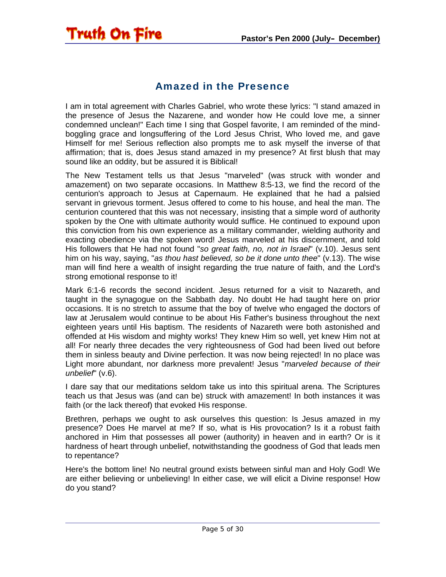#### Amazed in the Presence

<span id="page-4-0"></span>Truth On Fire

I am in total agreement with Charles Gabriel, who wrote these lyrics: "I stand amazed in the presence of Jesus the Nazarene, and wonder how He could love me, a sinner condemned unclean!" Each time I sing that Gospel favorite, I am reminded of the mindboggling grace and longsuffering of the Lord Jesus Christ, Who loved me, and gave Himself for me! Serious reflection also prompts me to ask myself the inverse of that affirmation; that is, does Jesus stand amazed in my presence? At first blush that may sound like an oddity, but be assured it is Biblical!

The New Testament tells us that Jesus "marveled" (was struck with wonder and amazement) on two separate occasions. In Matthew 8:5-13, we find the record of the centurion's approach to Jesus at Capernaum. He explained that he had a palsied servant in grievous torment. Jesus offered to come to his house, and heal the man. The centurion countered that this was not necessary, insisting that a simple word of authority spoken by the One with ultimate authority would suffice. He continued to expound upon this conviction from his own experience as a military commander, wielding authority and exacting obedience via the spoken word! Jesus marveled at his discernment, and told His followers that He had not found "*so great faith, no, not in Israel*" (v.10). Jesus sent him on his way, saying, "*as thou hast believed, so be it done unto thee*" (v.13). The wise man will find here a wealth of insight regarding the true nature of faith, and the Lord's strong emotional response to it!

Mark 6:1-6 records the second incident. Jesus returned for a visit to Nazareth, and taught in the synagogue on the Sabbath day. No doubt He had taught here on prior occasions. It is no stretch to assume that the boy of twelve who engaged the doctors of law at Jerusalem would continue to be about His Father's business throughout the next eighteen years until His baptism. The residents of Nazareth were both astonished and offended at His wisdom and mighty works! They knew Him so well, yet knew Him not at all! For nearly three decades the very righteousness of God had been lived out before them in sinless beauty and Divine perfection. It was now being rejected! In no place was Light more abundant, nor darkness more prevalent! Jesus "*marveled because of their unbelief*" (v.6).

I dare say that our meditations seldom take us into this spiritual arena. The Scriptures teach us that Jesus was (and can be) struck with amazement! In both instances it was faith (or the lack thereof) that evoked His response.

Brethren, perhaps we ought to ask ourselves this question: Is Jesus amazed in my presence? Does He marvel at me? If so, what is His provocation? Is it a robust faith anchored in Him that possesses all power (authority) in heaven and in earth? Or is it hardness of heart through unbelief, notwithstanding the goodness of God that leads men to repentance?

Here's the bottom line! No neutral ground exists between sinful man and Holy God! We are either believing or unbelieving! In either case, we will elicit a Divine response! How do you stand?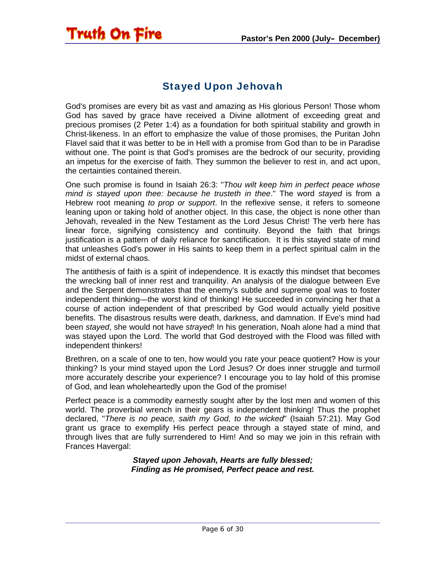# Stayed Upon Jehovah

<span id="page-5-0"></span>Truth On Fire

God's promises are every bit as vast and amazing as His glorious Person! Those whom God has saved by grace have received a Divine allotment of exceeding great and precious promises (2 Peter 1:4) as a foundation for both spiritual stability and growth in Christ-likeness. In an effort to emphasize the value of those promises, the Puritan John Flavel said that it was better to be in Hell with a promise from God than to be in Paradise without one. The point is that God's promises are the bedrock of our security, providing an impetus for the exercise of faith. They summon the believer to rest in, and act upon, the certainties contained therein.

One such promise is found in Isaiah 26:3: "*Thou wilt keep him in perfect peace whose mind is stayed upon thee: because he trusteth in thee*." The word *stayed* is from a Hebrew root meaning *to prop or support*. In the reflexive sense, it refers to someone leaning upon or taking hold of another object. In this case, the object is none other than Jehovah, revealed in the New Testament as the Lord Jesus Christ! The verb here has linear force, signifying consistency and continuity. Beyond the faith that brings justification is a pattern of daily reliance for sanctification. It is this stayed state of mind that unleashes God's power in His saints to keep them in a perfect spiritual calm in the midst of external chaos.

The antithesis of faith is a spirit of independence. It is exactly this mindset that becomes the wrecking ball of inner rest and tranquility. An analysis of the dialogue between Eve and the Serpent demonstrates that the enemy's subtle and supreme goal was to foster independent thinking—the worst kind of thinking! He succeeded in convincing her that a course of action independent of that prescribed by God would actually yield positive benefits. The disastrous results were death, darkness, and damnation. If Eve's mind had been *stayed*, she would not have *strayed*! In his generation, Noah alone had a mind that was stayed upon the Lord. The world that God destroyed with the Flood was filled with independent thinkers!

Brethren, on a scale of one to ten, how would you rate your peace quotient? How is your thinking? Is your mind stayed upon the Lord Jesus? Or does inner struggle and turmoil more accurately describe your experience? I encourage you to lay hold of this promise of God, and lean wholeheartedly upon the God of the promise!

Perfect peace is a commodity earnestly sought after by the lost men and women of this world. The proverbial wrench in their gears is independent thinking! Thus the prophet declared, "*There is no peace, saith my God, to the wicked*" (Isaiah 57:21). May God grant us grace to exemplify His perfect peace through a stayed state of mind, and through lives that are fully surrendered to Him! And so may we join in this refrain with Frances Havergal:

> *Stayed upon Jehovah, Hearts are fully blessed; Finding as He promised, Perfect peace and rest.*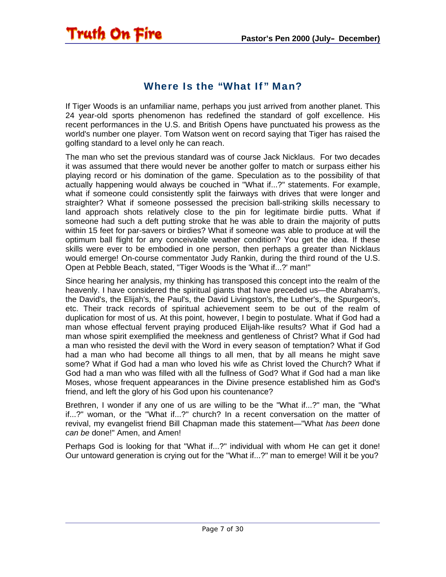#### Where Is the "What If" Man?

<span id="page-6-0"></span>Truth On Fire

If Tiger Woods is an unfamiliar name, perhaps you just arrived from another planet. This 24 year-old sports phenomenon has redefined the standard of golf excellence. His recent performances in the U.S. and British Opens have punctuated his prowess as the world's number one player. Tom Watson went on record saying that Tiger has raised the golfing standard to a level only he can reach.

The man who set the previous standard was of course Jack Nicklaus. For two decades it was assumed that there would never be another golfer to match or surpass either his playing record or his domination of the game. Speculation as to the possibility of that actually happening would always be couched in "What if...?" statements. For example, what if someone could consistently split the fairways with drives that were longer and straighter? What if someone possessed the precision ball-striking skills necessary to land approach shots relatively close to the pin for legitimate birdie putts. What if someone had such a deft putting stroke that he was able to drain the majority of putts within 15 feet for par-savers or birdies? What if someone was able to produce at will the optimum ball flight for any conceivable weather condition? You get the idea. If these skills were ever to be embodied in one person, then perhaps a greater than Nicklaus would emerge! On-course commentator Judy Rankin, during the third round of the U.S. Open at Pebble Beach, stated, "Tiger Woods is the 'What if...?' man!"

Since hearing her analysis, my thinking has transposed this concept into the realm of the heavenly. I have considered the spiritual giants that have preceded us—the Abraham's, the David's, the Elijah's, the Paul's, the David Livingston's, the Luther's, the Spurgeon's, etc. Their track records of spiritual achievement seem to be out of the realm of duplication for most of us. At this point, however, I begin to postulate. What if God had a man whose effectual fervent praying produced Elijah-like results? What if God had a man whose spirit exemplified the meekness and gentleness of Christ? What if God had a man who resisted the devil with the Word in every season of temptation? What if God had a man who had become all things to all men, that by all means he might save some? What if God had a man who loved his wife as Christ loved the Church? What if God had a man who was filled with all the fullness of God? What if God had a man like Moses, whose frequent appearances in the Divine presence established him as God's friend, and left the glory of his God upon his countenance?

Brethren, I wonder if any one of us are willing to be the "What if...?" man, the "What if...?" woman, or the "What if...?" church? In a recent conversation on the matter of revival, my evangelist friend Bill Chapman made this statement—"What *has been* done *can be* done!" Amen, and Amen!

Perhaps God is looking for that "What if...?" individual with whom He can get it done! Our untoward generation is crying out for the "What if...?" man to emerge! Will it be you?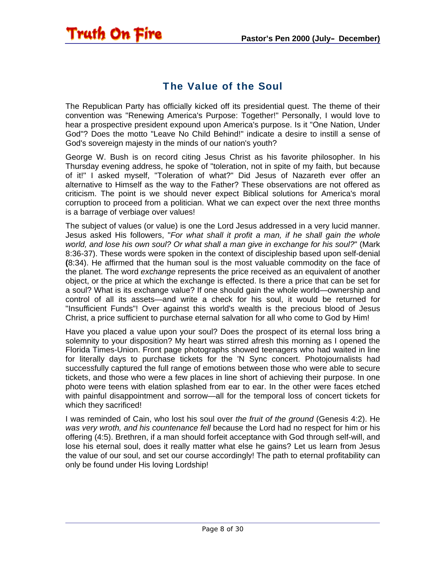## The Value of the Soul

<span id="page-7-0"></span>Truth On Fire

The Republican Party has officially kicked off its presidential quest. The theme of their convention was "Renewing America's Purpose: Together!" Personally, I would love to hear a prospective president expound upon America's purpose. Is it "One Nation, Under God"? Does the motto "Leave No Child Behind!" indicate a desire to instill a sense of God's sovereign majesty in the minds of our nation's youth?

George W. Bush is on record citing Jesus Christ as his favorite philosopher. In his Thursday evening address, he spoke of "toleration, not in spite of my faith, but because of it!" I asked myself, "Toleration of what?" Did Jesus of Nazareth ever offer an alternative to Himself as the way to the Father? These observations are not offered as criticism. The point is we should never expect Biblical solutions for America's moral corruption to proceed from a politician. What we can expect over the next three months is a barrage of verbiage over values!

The subject of values (or value) is one the Lord Jesus addressed in a very lucid manner. Jesus asked His followers, "*For what shall it profit a man, if he shall gain the whole world, and lose his own soul? Or what shall a man give in exchange for his soul?*" (Mark 8:36-37). These words were spoken in the context of discipleship based upon self-denial **(**8:34). He affirmed that the human soul is the most valuable commodity on the face of the planet. The word *exchange* represents the price received as an equivalent of another object, or the price at which the exchange is effected. Is there a price that can be set for a soul? What is its exchange value? If one should gain the whole world—ownership and control of all its assets—and write a check for his soul, it would be returned for "Insufficient Funds"! Over against this world's wealth is the precious blood of Jesus Christ, a price sufficient to purchase eternal salvation for all who come to God by Him!

Have you placed a value upon your soul? Does the prospect of its eternal loss bring a solemnity to your disposition? My heart was stirred afresh this morning as I opened the Florida Times-Union. Front page photographs showed teenagers who had waited in line for literally days to purchase tickets for the 'N Sync concert. Photojournalists had successfully captured the full range of emotions between those who were able to secure tickets, and those who were a few places in line short of achieving their purpose. In one photo were teens with elation splashed from ear to ear. In the other were faces etched with painful disappointment and sorrow—all for the temporal loss of concert tickets for which they sacrificed!

I was reminded of Cain, who lost his soul over *the fruit of the ground* (Genesis 4:2). He *was very wroth, and his countenance fell* because the Lord had no respect for him or his offering (4:5). Brethren, if a man should forfeit acceptance with God through self-will, and lose his eternal soul, does it really matter what else he gains? Let us learn from Jesus the value of our soul, and set our course accordingly! The path to eternal profitability can only be found under His loving Lordship!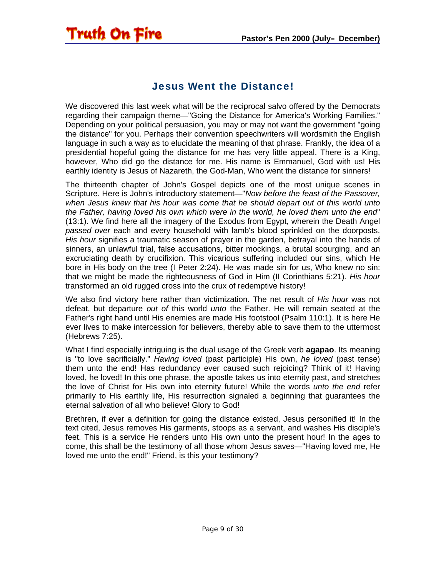#### Jesus Went the Distance!

<span id="page-8-0"></span>Truth On Fire

We discovered this last week what will be the reciprocal salvo offered by the Democrats regarding their campaign theme—"Going the Distance for America's Working Families." Depending on your political persuasion, you may or may not want the government "going the distance" for you. Perhaps their convention speechwriters will wordsmith the English language in such a way as to elucidate the meaning of that phrase. Frankly, the idea of a presidential hopeful going the distance for me has very little appeal. There is a King, however, Who did go the distance for me. His name is Emmanuel, God with us! His earthly identity is Jesus of Nazareth, the God-Man, Who went the distance for sinners!

The thirteenth chapter of John's Gospel depicts one of the most unique scenes in Scripture. Here is John's introductory statement—"*Now before the feast of the Passover, when Jesus knew that his hour was come that he should depart out of this world unto the Father, having loved his own which were in the world, he loved them unto the end*" (13:1). We find here all the imagery of the Exodus from Egypt, wherein the Death Angel *passed over* each and every household with lamb's blood sprinkled on the doorposts. *His hour* signifies a traumatic season of prayer in the garden, betrayal into the hands of sinners, an unlawful trial, false accusations, bitter mockings, a brutal scourging, and an excruciating death by crucifixion. This vicarious suffering included our sins, which He bore in His body on the tree (I Peter 2:24). He was made sin for us, Who knew no sin: that we might be made the righteousness of God in Him (II Corinthians 5:21). *His hour* transformed an old rugged cross into the crux of redemptive history!

We also find victory here rather than victimization. The net result of *His hour* was not defeat, but departure *out of* this world *unto* the Father. He will remain seated at the Father's right hand until His enemies are made His footstool (Psalm 110:1). It is here He ever lives to make intercession for believers, thereby able to save them to the uttermost (Hebrews 7:25).

What I find especially intriguing is the dual usage of the Greek verb **agapao**. Its meaning is "to love sacrificially." *Having loved* (past participle) His own, *he loved* (past tense) them unto the end! Has redundancy ever caused such rejoicing? Think of it! Having loved, he loved! In this one phrase, the apostle takes us into eternity past, and stretches the love of Christ for His own into eternity future! While the words *unto the end* refer primarily to His earthly life, His resurrection signaled a beginning that guarantees the eternal salvation of all who believe! Glory to God!

Brethren, if ever a definition for going the distance existed, Jesus personified it! In the text cited, Jesus removes His garments, stoops as a servant, and washes His disciple's feet. This is a service He renders unto His own unto the present hour! In the ages to come, this shall be the testimony of all those whom Jesus saves—"Having loved me, He loved me unto the end!" Friend, is this your testimony?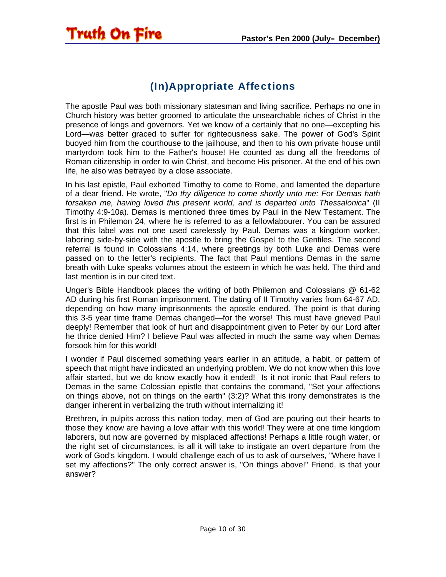# (In)Appropriate Affections

<span id="page-9-0"></span>Truth On Fire

The apostle Paul was both missionary statesman and living sacrifice. Perhaps no one in Church history was better groomed to articulate the unsearchable riches of Christ in the presence of kings and governors. Yet we know of a certainly that no one—excepting his Lord—was better graced to suffer for righteousness sake. The power of God's Spirit buoyed him from the courthouse to the jailhouse, and then to his own private house until martyrdom took him to the Father's house! He counted as dung all the freedoms of Roman citizenship in order to win Christ, and become His prisoner. At the end of his own life, he also was betrayed by a close associate.

In his last epistle, Paul exhorted Timothy to come to Rome, and lamented the departure of a dear friend. He wrote, "*Do thy diligence to come shortly unto me: For Demas hath forsaken me, having loved this present world, and is departed unto Thessalonica*" (II Timothy 4:9-10a). Demas is mentioned three times by Paul in the New Testament. The first is in Philemon 24, where he is referred to as a fellowlabourer. You can be assured that this label was not one used carelessly by Paul. Demas was a kingdom worker, laboring side-by-side with the apostle to bring the Gospel to the Gentiles. The second referral is found in Colossians 4:14, where greetings by both Luke and Demas were passed on to the letter's recipients. The fact that Paul mentions Demas in the same breath with Luke speaks volumes about the esteem in which he was held. The third and last mention is in our cited text.

Unger's Bible Handbook places the writing of both Philemon and Colossians @ 61-62 AD during his first Roman imprisonment. The dating of II Timothy varies from 64-67 AD, depending on how many imprisonments the apostle endured. The point is that during this 3-5 year time frame Demas changed—for the worse! This must have grieved Paul deeply! Remember that look of hurt and disappointment given to Peter by our Lord after he thrice denied Him? I believe Paul was affected in much the same way when Demas forsook him for this world!

I wonder if Paul discerned something years earlier in an attitude, a habit, or pattern of speech that might have indicated an underlying problem. We do not know when this love affair started, but we do know exactly how it ended! Is it not ironic that Paul refers to Demas in the same Colossian epistle that contains the command, "Set your affections on things above, not on things on the earth" (3:2)? What this irony demonstrates is the danger inherent in verbalizing the truth without internalizing it!

Brethren, in pulpits across this nation today, men of God are pouring out their hearts to those they know are having a love affair with this world! They were at one time kingdom laborers, but now are governed by misplaced affections! Perhaps a little rough water, or the right set of circumstances, is all it will take to instigate an overt departure from the work of God's kingdom. I would challenge each of us to ask of ourselves, "Where have I set my affections?" The only correct answer is, "On things above!" Friend, is that your answer?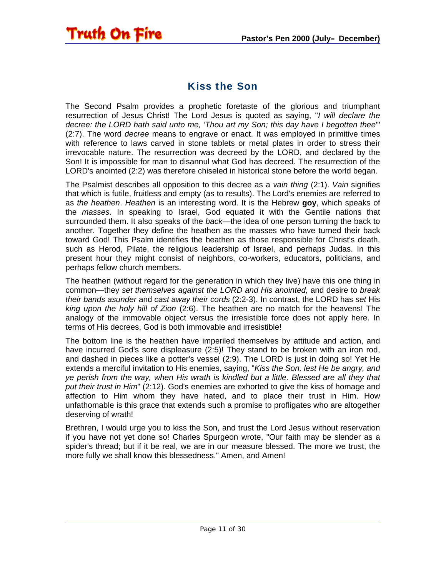<span id="page-10-0"></span>

#### Kiss the Son

The Second Psalm provides a prophetic foretaste of the glorious and triumphant resurrection of Jesus Christ! The Lord Jesus is quoted as saying, "*I will declare the decree: the LORD hath said unto me, 'Thou art my Son; this day have I begotten thee*'" (2:7). The word *decree* means to engrave or enact. It was employed in primitive times with reference to laws carved in stone tablets or metal plates in order to stress their irrevocable nature. The resurrection was decreed by the LORD, and declared by the Son! It is impossible for man to disannul what God has decreed. The resurrection of the LORD's anointed (2:2) was therefore chiseled in historical stone before the world began.

The Psalmist describes all opposition to this decree as a *vain thing* (2:1). *Vain* signifies that which is futile, fruitless and empty (as to results). The Lord's enemies are referred to as *the heathen*. *Heathen* is an interesting word. It is the Hebrew **goy**, which speaks of the *masses*. In speaking to Israel, God equated it with the Gentile nations that surrounded them. It also speaks of the *back*—the idea of one person turning the back to another. Together they define the heathen as the masses who have turned their back toward God! This Psalm identifies the heathen as those responsible for Christ's death, such as Herod, Pilate, the religious leadership of Israel, and perhaps Judas. In this present hour they might consist of neighbors, co-workers, educators, politicians, and perhaps fellow church members.

The heathen (without regard for the generation in which they live) have this one thing in common—they *set themselves against the LORD and His anointed,* and desire to *break their bands asunder* and *cast away their cords* (2:2-3). In contrast, the LORD has *set* His *king upon the holy hill of Zion* (2:6). The heathen are no match for the heavens! The analogy of the immovable object versus the irresistible force does not apply here. In terms of His decrees, God is both immovable and irresistible!

The bottom line is the heathen have imperiled themselves by attitude and action, and have incurred God's sore displeasure (2:5)! They stand to be broken with an iron rod, and dashed in pieces like a potter's vessel (2:9). The LORD is just in doing so! Yet He extends a merciful invitation to His enemies, saying, "*Kiss the Son, lest He be angry, and ye perish from the way, when His wrath is kindled but a little. Blessed are all they that put their trust in Him*" (2:12). God's enemies are exhorted to give the kiss of homage and affection to Him whom they have hated, and to place their trust in Him. How unfathomable is this grace that extends such a promise to profligates who are altogether deserving of wrath!

Brethren, I would urge you to kiss the Son, and trust the Lord Jesus without reservation if you have not yet done so! Charles Spurgeon wrote, "Our faith may be slender as a spider's thread; but if it be real, we are in our measure blessed. The more we trust, the more fully we shall know this blessedness." Amen, and Amen!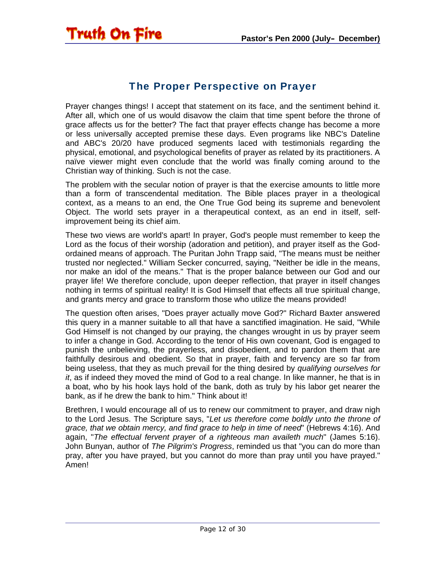<span id="page-11-0"></span>

## The Proper Perspective on Prayer

Prayer changes things! I accept that statement on its face, and the sentiment behind it. After all, which one of us would disavow the claim that time spent before the throne of grace affects us for the better? The fact that prayer effects change has become a more or less universally accepted premise these days. Even programs like NBC's Dateline and ABC's 20/20 have produced segments laced with testimonials regarding the physical, emotional, and psychological benefits of prayer as related by its practitioners. A naïve viewer might even conclude that the world was finally coming around to the Christian way of thinking. Such is not the case.

The problem with the secular notion of prayer is that the exercise amounts to little more than a form of transcendental meditation. The Bible places prayer in a theological context, as a means to an end, the One True God being its supreme and benevolent Object. The world sets prayer in a therapeutical context, as an end in itself, selfimprovement being its chief aim.

These two views are world's apart! In prayer, God's people must remember to keep the Lord as the focus of their worship (adoration and petition), and prayer itself as the Godordained means of approach. The Puritan John Trapp said, "The means must be neither trusted nor neglected." William Secker concurred, saying, "Neither be idle in the means, nor make an idol of the means." That is the proper balance between our God and our prayer life! We therefore conclude, upon deeper reflection, that prayer in itself changes nothing in terms of spiritual reality! It is God Himself that effects all true spiritual change, and grants mercy and grace to transform those who utilize the means provided!

The question often arises, "Does prayer actually move God?" Richard Baxter answered this query in a manner suitable to all that have a sanctified imagination. He said, "While God Himself is not changed by our praying, the changes wrought in us by prayer seem to infer a change in God. According to the tenor of His own covenant, God is engaged to punish the unbelieving, the prayerless, and disobedient, and to pardon them that are faithfully desirous and obedient. So that in prayer, faith and fervency are so far from being useless, that they as much prevail for the thing desired by *qualifying ourselves for it*, as if indeed they moved the mind of God to a real change. In like manner, he that is in a boat, who by his hook lays hold of the bank, doth as truly by his labor get nearer the bank, as if he drew the bank to him." Think about it!

Brethren, I would encourage all of us to renew our commitment to prayer, and draw nigh to the Lord Jesus. The Scripture says, "*Let us therefore come boldly unto the throne of grace, that we obtain mercy, and find grace to help in time of need*" (Hebrews 4:16). And again, "*The effectual fervent prayer of a righteous man availeth much*" (James 5:16). John Bunyan, author of *The Pilgrim's Progress*, reminded us that "you can do more than pray, after you have prayed, but you cannot do more than pray until you have prayed." Amen!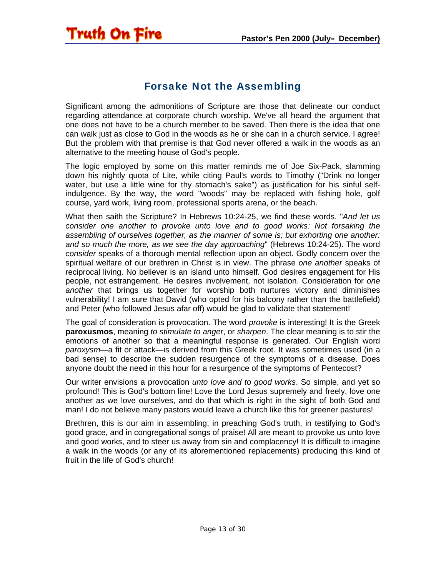## Forsake Not the Assembling

<span id="page-12-0"></span>Truth On Fire

Significant among the admonitions of Scripture are those that delineate our conduct regarding attendance at corporate church worship. We've all heard the argument that one does not have to be a church member to be saved. Then there is the idea that one can walk just as close to God in the woods as he or she can in a church service. I agree! But the problem with that premise is that God never offered a walk in the woods as an alternative to the meeting house of God's people.

The logic employed by some on this matter reminds me of Joe Six-Pack, slamming down his nightly quota of Lite, while citing Paul's words to Timothy ("Drink no longer water, but use a little wine for thy stomach's sake") as justification for his sinful selfindulgence. By the way, the word "woods" may be replaced with fishing hole, golf course, yard work, living room, professional sports arena, or the beach.

What then saith the Scripture? In Hebrews 10:24-25, we find these words. "*And let us consider one another to provoke unto love and to good works: Not forsaking the assembling of ourselves together, as the manner of some is; but exhorting one another: and so much the more, as we see the day approaching*" (Hebrews 10:24-25). The word *consider* speaks of a thorough mental reflection upon an object. Godly concern over the spiritual welfare of our brethren in Christ is in view. The phrase *one another* speaks of reciprocal living. No believer is an island unto himself. God desires engagement for His people, not estrangement. He desires involvement, not isolation. Consideration for *one another* that brings us together for worship both nurtures victory and diminishes vulnerability! I am sure that David (who opted for his balcony rather than the battlefield) and Peter (who followed Jesus afar off) would be glad to validate that statement!

The goal of consideration is provocation. The word *provoke* is interesting! It is the Greek **paroxusmos**, meaning *to stimulate to anger*, or *sharpen*. The clear meaning is to stir the emotions of another so that a meaningful response is generated. Our English word *paroxysm*—a fit or attack—is derived from this Greek root. It was sometimes used (in a bad sense) to describe the sudden resurgence of the symptoms of a disease. Does anyone doubt the need in this hour for a resurgence of the symptoms of Pentecost?

Our writer envisions a provocation *unto love and to good works*. So simple, and yet so profound! This is God's bottom line! Love the Lord Jesus supremely and freely, love one another as we love ourselves, and do that which is right in the sight of both God and man! I do not believe many pastors would leave a church like this for greener pastures!

Brethren, this is our aim in assembling, in preaching God's truth, in testifying to God's good grace, and in congregational songs of praise! All are meant to provoke us unto love and good works, and to steer us away from sin and complacency! It is difficult to imagine a walk in the woods (or any of its aforementioned replacements) producing this kind of fruit in the life of God's church!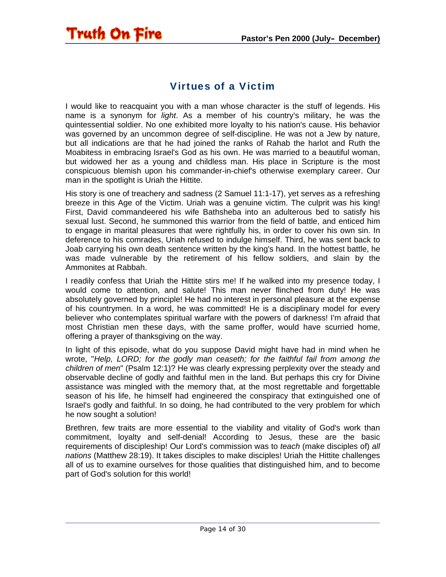#### Virtues of a Victim

<span id="page-13-0"></span>Truth On Fire

I would like to reacquaint you with a man whose character is the stuff of legends. His name is a synonym for *light*. As a member of his country's military, he was the quintessential soldier. No one exhibited more loyalty to his nation's cause. His behavior was governed by an uncommon degree of self-discipline. He was not a Jew by nature, but all indications are that he had joined the ranks of Rahab the harlot and Ruth the Moabitess in embracing Israel's God as his own. He was married to a beautiful woman, but widowed her as a young and childless man. His place in Scripture is the most conspicuous blemish upon his commander-in-chief's otherwise exemplary career. Our man in the spotlight is Uriah the Hittite.

His story is one of treachery and sadness (2 Samuel 11:1-17), yet serves as a refreshing breeze in this Age of the Victim. Uriah was a genuine victim. The culprit was his king! First, David commandeered his wife Bathsheba into an adulterous bed to satisfy his sexual lust. Second, he summoned this warrior from the field of battle, and enticed him to engage in marital pleasures that were rightfully his, in order to cover his own sin. In deference to his comrades, Uriah refused to indulge himself. Third, he was sent back to Joab carrying his own death sentence written by the king's hand. In the hottest battle, he was made vulnerable by the retirement of his fellow soldiers, and slain by the Ammonites at Rabbah.

I readily confess that Uriah the Hittite stirs me! If he walked into my presence today, I would come to attention, and salute! This man never flinched from duty! He was absolutely governed by principle! He had no interest in personal pleasure at the expense of his countrymen. In a word, he was committed! He is a disciplinary model for every believer who contemplates spiritual warfare with the powers of darkness! I'm afraid that most Christian men these days, with the same proffer, would have scurried home, offering a prayer of thanksgiving on the way.

In light of this episode, what do you suppose David might have had in mind when he wrote, "*Help, LORD; for the godly man ceaseth; for the faithful fail from among the children of men*" (Psalm 12:1)? He was clearly expressing perplexity over the steady and observable decline of godly and faithful men in the land. But perhaps this cry for Divine assistance was mingled with the memory that, at the most regrettable and forgettable season of his life, he himself had engineered the conspiracy that extinguished one of Israel's godly and faithful. In so doing, he had contributed to the very problem for which he now sought a solution!

Brethren, few traits are more essential to the viability and vitality of God's work than commitment, loyalty and self-denial! According to Jesus, these are the basic requirements of discipleship! Our Lord's commission was to *teach* (make disciples of) *all nations* (Matthew 28:19). It takes disciples to make disciples! Uriah the Hittite challenges all of us to examine ourselves for those qualities that distinguished him, and to become part of God's solution for this world!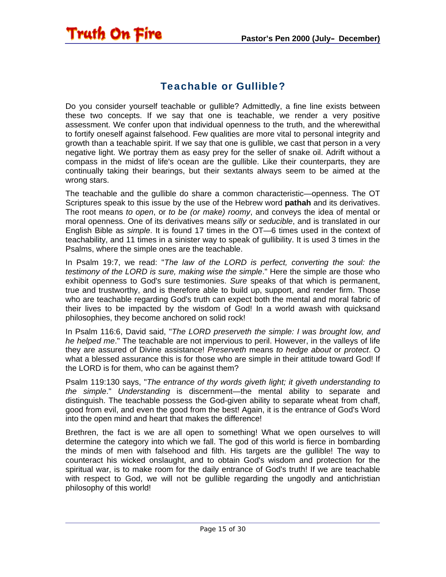# Teachable or Gullible?

<span id="page-14-0"></span>Truth On Fire

Do you consider yourself teachable or gullible? Admittedly, a fine line exists between these two concepts. If we say that one is teachable, we render a very positive assessment. We confer upon that individual openness to the truth, and the wherewithal to fortify oneself against falsehood. Few qualities are more vital to personal integrity and growth than a teachable spirit. If we say that one is gullible, we cast that person in a very negative light. We portray them as easy prey for the seller of snake oil. Adrift without a compass in the midst of life's ocean are the gullible. Like their counterparts, they are continually taking their bearings, but their sextants always seem to be aimed at the wrong stars.

The teachable and the gullible do share a common characteristic—openness. The OT Scriptures speak to this issue by the use of the Hebrew word **pathah** and its derivatives. The root means *to open*, or *to be (or make) roomy*, and conveys the idea of mental or moral openness. One of its derivatives means *silly* or *seducible*, and is translated in our English Bible as *simple*. It is found 17 times in the OT—6 times used in the context of teachability, and 11 times in a sinister way to speak of gullibility. It is used 3 times in the Psalms, where the simple ones are the teachable.

In Psalm 19:7, we read: "*The law of the LORD is perfect, converting the soul: the testimony of the LORD is sure, making wise the simple*." Here the simple are those who exhibit openness to God's sure testimonies. *Sure* speaks of that which is permanent, true and trustworthy, and is therefore able to build up, support, and render firm. Those who are teachable regarding God's truth can expect both the mental and moral fabric of their lives to be impacted by the wisdom of God! In a world awash with quicksand philosophies, they become anchored on solid rock!

In Psalm 116:6, David said, "*The LORD preserveth the simple: I was brought low, and he helped me*." The teachable are not impervious to peril. However, in the valleys of life they are assured of Divine assistance! *Preserveth* means *to hedge about* or *protect*. O what a blessed assurance this is for those who are simple in their attitude toward God! If the LORD is for them, who can be against them?

Psalm 119:130 says, "*The entrance of thy words giveth light; it giveth understanding to the simple*." *Understanding* is discernment—the mental ability to separate and distinguish. The teachable possess the God-given ability to separate wheat from chaff, good from evil, and even the good from the best! Again, it is the entrance of God's Word into the open mind and heart that makes the difference!

Brethren, the fact is we are all open to something! What we open ourselves to will determine the category into which we fall. The god of this world is fierce in bombarding the minds of men with falsehood and filth. His targets are the gullible! The way to counteract his wicked onslaught, and to obtain God's wisdom and protection for the spiritual war, is to make room for the daily entrance of God's truth! If we are teachable with respect to God, we will not be gullible regarding the ungodly and antichristian philosophy of this world!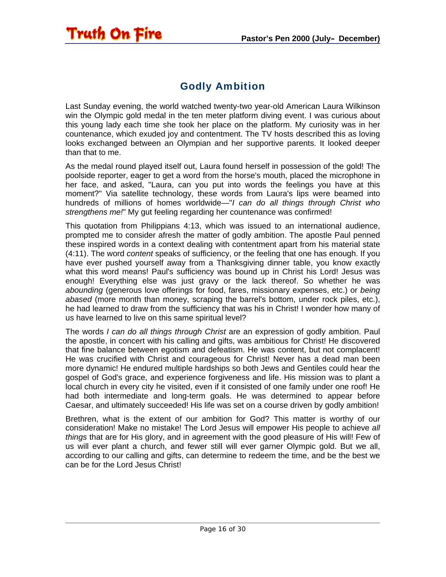# Godly Ambition

<span id="page-15-0"></span>Last Sunday evening, the world watched twenty-two year-old American Laura Wilkinson win the Olympic gold medal in the ten meter platform diving event. I was curious about this young lady each time she took her place on the platform. My curiosity was in her countenance, which exuded joy and contentment. The TV hosts described this as loving looks exchanged between an Olympian and her supportive parents. It looked deeper than that to me.

As the medal round played itself out, Laura found herself in possession of the gold! The poolside reporter, eager to get a word from the horse's mouth, placed the microphone in her face, and asked, "Laura, can you put into words the feelings you have at this moment?" Via satellite technology, these words from Laura's lips were beamed into hundreds of millions of homes worldwide—"*I can do all things through Christ who strengthens me!*" My gut feeling regarding her countenance was confirmed!

This quotation from Philippians 4:13, which was issued to an international audience, prompted me to consider afresh the matter of godly ambition. The apostle Paul penned these inspired words in a context dealing with contentment apart from his material state (4:11). The word *content* speaks of sufficiency, or the feeling that one has enough. If you have ever pushed yourself away from a Thanksgiving dinner table, you know exactly what this word means! Paul's sufficiency was bound up in Christ his Lord! Jesus was enough! Everything else was just gravy or the lack thereof. So whether he was *abounding* (generous love offerings for food, fares, missionary expenses, etc.) or *being abased* (more month than money, scraping the barrel's bottom, under rock piles, etc.), he had learned to draw from the sufficiency that was his in Christ! I wonder how many of us have learned to live on this same spiritual level?

The words *I can do all things through Christ* are an expression of godly ambition. Paul the apostle, in concert with his calling and gifts, was ambitious for Christ! He discovered that fine balance between egotism and defeatism. He was content, but not complacent! He was crucified with Christ and courageous for Christ! Never has a dead man been more dynamic! He endured multiple hardships so both Jews and Gentiles could hear the gospel of God's grace, and experience forgiveness and life. His mission was to plant a local church in every city he visited, even if it consisted of one family under one roof! He had both intermediate and long-term goals. He was determined to appear before Caesar, and ultimately succeeded! His life was set on a course driven by godly ambition!

Brethren, what is the extent of our ambition for God? This matter is worthy of our consideration! Make no mistake! The Lord Jesus will empower His people to achieve *all things* that are for His glory, and in agreement with the good pleasure of His will! Few of us will ever plant a church, and fewer still will ever garner Olympic gold. But we all, according to our calling and gifts, can determine to redeem the time, and be the best we can be for the Lord Jesus Christ!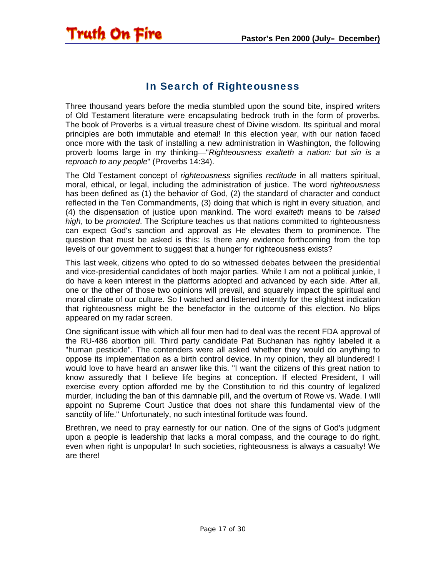# In Search of Righteousness

<span id="page-16-0"></span>Truth On Fire

Three thousand years before the media stumbled upon the sound bite, inspired writers of Old Testament literature were encapsulating bedrock truth in the form of proverbs. The book of Proverbs is a virtual treasure chest of Divine wisdom. Its spiritual and moral principles are both immutable and eternal! In this election year, with our nation faced once more with the task of installing a new administration in Washington, the following proverb looms large in my thinking—"*Righteousness exalteth a nation: but sin is a reproach to any people*" (Proverbs 14:34).

The Old Testament concept of *righteousness* signifies *rectitude* in all matters spiritual, moral, ethical, or legal, including the administration of justice. The word r*ighteousness* has been defined as (1) the behavior of God, (2) the standard of character and conduct reflected in the Ten Commandments, (3) doing that which is right in every situation, and (4) the dispensation of justice upon mankind. The word *exalteth* means to be *raised high*, to be *promoted*. The Scripture teaches us that nations committed to righteousness can expect God's sanction and approval as He elevates them to prominence. The question that must be asked is this: Is there any evidence forthcoming from the top levels of our government to suggest that a hunger for righteousness exists?

This last week, citizens who opted to do so witnessed debates between the presidential and vice-presidential candidates of both major parties. While I am not a political junkie, I do have a keen interest in the platforms adopted and advanced by each side. After all, one or the other of those two opinions will prevail, and squarely impact the spiritual and moral climate of our culture. So I watched and listened intently for the slightest indication that righteousness might be the benefactor in the outcome of this election. No blips appeared on my radar screen.

One significant issue with which all four men had to deal was the recent FDA approval of the RU-486 abortion pill. Third party candidate Pat Buchanan has rightly labeled it a "human pesticide". The contenders were all asked whether they would do anything to oppose its implementation as a birth control device. In my opinion, they all blundered! I would love to have heard an answer like this. "I want the citizens of this great nation to know assuredly that I believe life begins at conception. If elected President, I will exercise every option afforded me by the Constitution to rid this country of legalized murder, including the ban of this damnable pill, and the overturn of Rowe vs. Wade. I will appoint no Supreme Court Justice that does not share this fundamental view of the sanctity of life." Unfortunately, no such intestinal fortitude was found.

Brethren, we need to pray earnestly for our nation. One of the signs of God's judgment upon a people is leadership that lacks a moral compass, and the courage to do right, even when right is unpopular! In such societies, righteousness is always a casualty! We are there!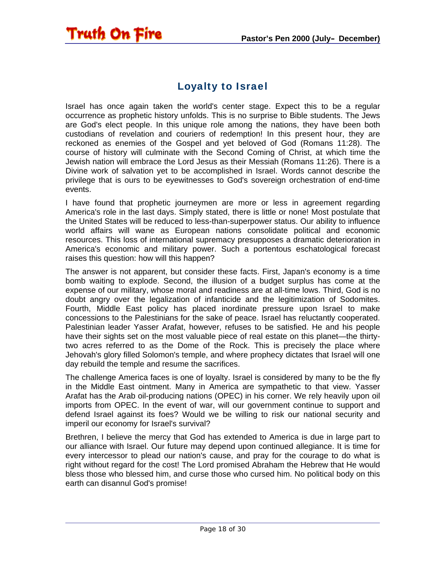

<span id="page-17-0"></span>Truth On Fire

Israel has once again taken the world's center stage. Expect this to be a regular occurrence as prophetic history unfolds. This is no surprise to Bible students. The Jews are God's elect people. In this unique role among the nations, they have been both custodians of revelation and couriers of redemption! In this present hour, they are reckoned as enemies of the Gospel and yet beloved of God (Romans 11:28). The course of history will culminate with the Second Coming of Christ, at which time the Jewish nation will embrace the Lord Jesus as their Messiah (Romans 11:26). There is a Divine work of salvation yet to be accomplished in Israel. Words cannot describe the privilege that is ours to be eyewitnesses to God's sovereign orchestration of end-time events.

I have found that prophetic journeymen are more or less in agreement regarding America's role in the last days. Simply stated, there is little or none! Most postulate that the United States will be reduced to less-than-superpower status. Our ability to influence world affairs will wane as European nations consolidate political and economic resources. This loss of international supremacy presupposes a dramatic deterioration in America's economic and military power. Such a portentous eschatological forecast raises this question: how will this happen?

The answer is not apparent, but consider these facts. First, Japan's economy is a time bomb waiting to explode. Second, the illusion of a budget surplus has come at the expense of our military, whose moral and readiness are at all-time lows. Third, God is no doubt angry over the legalization of infanticide and the legitimization of Sodomites. Fourth, Middle East policy has placed inordinate pressure upon Israel to make concessions to the Palestinians for the sake of peace. Israel has reluctantly cooperated. Palestinian leader Yasser Arafat, however, refuses to be satisfied. He and his people have their sights set on the most valuable piece of real estate on this planet—the thirtytwo acres referred to as the Dome of the Rock. This is precisely the place where Jehovah's glory filled Solomon's temple, and where prophecy dictates that Israel will one day rebuild the temple and resume the sacrifices.

The challenge America faces is one of loyalty. Israel is considered by many to be the fly in the Middle East ointment. Many in America are sympathetic to that view. Yasser Arafat has the Arab oil-producing nations (OPEC) in his corner. We rely heavily upon oil imports from OPEC. In the event of war, will our government continue to support and defend Israel against its foes? Would we be willing to risk our national security and imperil our economy for Israel's survival?

Brethren, I believe the mercy that God has extended to America is due in large part to our alliance with Israel. Our future may depend upon continued allegiance. It is time for every intercessor to plead our nation's cause, and pray for the courage to do what is right without regard for the cost! The Lord promised Abraham the Hebrew that He would bless those who blessed him, and curse those who cursed him. No political body on this earth can disannul God's promise!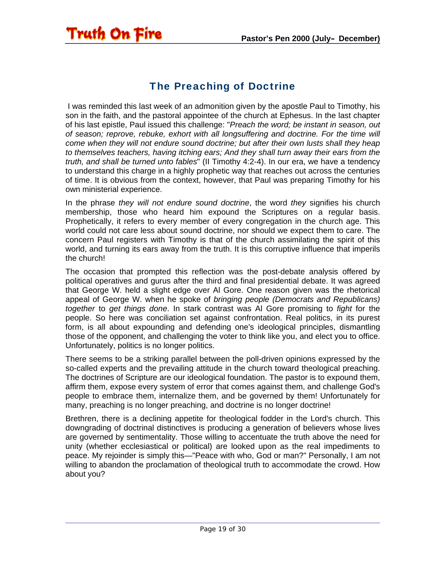# The Preaching of Doctrine

<span id="page-18-0"></span>Truth On Fire

 I was reminded this last week of an admonition given by the apostle Paul to Timothy, his son in the faith, and the pastoral appointee of the church at Ephesus. In the last chapter of his last epistle, Paul issued this challenge: "*Preach the word; be instant in season, out of season; reprove, rebuke, exhort with all longsuffering and doctrine. For the time will come when they will not endure sound doctrine; but after their own lusts shall they heap to themselves teachers, having itching ears; And they shall turn away their ears from the truth, and shall be turned unto fables*" (II Timothy 4:2-4). In our era, we have a tendency to understand this charge in a highly prophetic way that reaches out across the centuries of time. It is obvious from the context, however, that Paul was preparing Timothy for his own ministerial experience.

In the phrase *they will not endure sound doctrine*, the word *they* signifies his church membership, those who heard him expound the Scriptures on a regular basis. Prophetically, it refers to every member of every congregation in the church age. This world could not care less about sound doctrine, nor should we expect them to care. The concern Paul registers with Timothy is that of the church assimilating the spirit of this world, and turning its ears away from the truth. It is this corruptive influence that imperils the church!

The occasion that prompted this reflection was the post-debate analysis offered by political operatives and gurus after the third and final presidential debate. It was agreed that George W. held a slight edge over Al Gore. One reason given was the rhetorical appeal of George W. when he spoke of *bringing people (Democrats and Republicans) together* to *get things done*. In stark contrast was Al Gore promising to *fight* for the people. So here was conciliation set against confrontation. Real politics, in its purest form, is all about expounding and defending one's ideological principles, dismantling those of the opponent, and challenging the voter to think like you, and elect you to office. Unfortunately, politics is no longer politics.

There seems to be a striking parallel between the poll-driven opinions expressed by the so-called experts and the prevailing attitude in the church toward theological preaching. The doctrines of Scripture are our ideological foundation. The pastor is to expound them, affirm them, expose every system of error that comes against them, and challenge God's people to embrace them, internalize them, and be governed by them! Unfortunately for many, preaching is no longer preaching, and doctrine is no longer doctrine!

Brethren, there is a declining appetite for theological fodder in the Lord's church. This downgrading of doctrinal distinctives is producing a generation of believers whose lives are governed by sentimentality. Those willing to accentuate the truth above the need for unity (whether ecclesiastical or political) are looked upon as the real impediments to peace. My rejoinder is simply this—"Peace with who, God or man?" Personally, I am not willing to abandon the proclamation of theological truth to accommodate the crowd. How about you?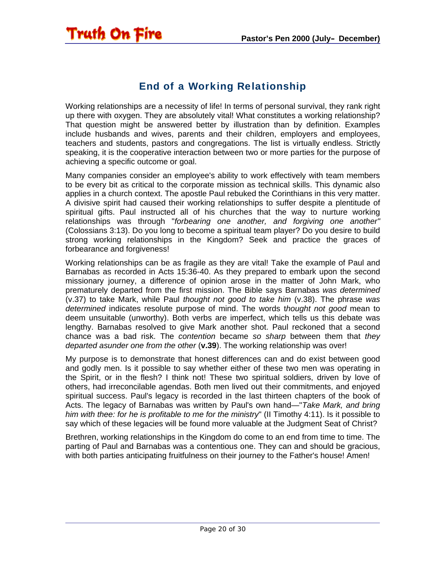

<span id="page-19-0"></span>**Truth On Fire** 

Working relationships are a necessity of life! In terms of personal survival, they rank right up there with oxygen. They are absolutely vital! What constitutes a working relationship? That question might be answered better by illustration than by definition. Examples include husbands and wives, parents and their children, employers and employees, teachers and students, pastors and congregations. The list is virtually endless. Strictly speaking, it is the cooperative interaction between two or more parties for the purpose of achieving a specific outcome or goal.

Many companies consider an employee's ability to work effectively with team members to be every bit as critical to the corporate mission as technical skills. This dynamic also applies in a church context. The apostle Paul rebuked the Corinthians in this very matter. A divisive spirit had caused their working relationships to suffer despite a plentitude of spiritual gifts. Paul instructed all of his churches that the way to nurture working relationships was through "*forbearing one another, and forgiving one another"*  (Colossians 3:13). Do you long to become a spiritual team player? Do you desire to build strong working relationships in the Kingdom? Seek and practice the graces of forbearance and forgiveness!

Working relationships can be as fragile as they are vital! Take the example of Paul and Barnabas as recorded in Acts 15:36-40. As they prepared to embark upon the second missionary journey, a difference of opinion arose in the matter of John Mark, who prematurely departed from the first mission. The Bible says Barnabas *was determined* (v.37) to take Mark, while Paul *thought not good to take him* (v.38). The phrase *was determined* indicates resolute purpose of mind. The words t*hought not good* mean to deem unsuitable (unworthy). Both verbs are imperfect, which tells us this debate was lengthy. Barnabas resolved to give Mark another shot. Paul reckoned that a second chance was a bad risk. The *contention* became *so sharp* between them that *they departed asunder one from the other* (**v.39**). The working relationship was over!

My purpose is to demonstrate that honest differences can and do exist between good and godly men. Is it possible to say whether either of these two men was operating in the Spirit, or in the flesh? I think not! These two spiritual soldiers, driven by love of others, had irreconcilable agendas. Both men lived out their commitments, and enjoyed spiritual success. Paul's legacy is recorded in the last thirteen chapters of the book of Acts. The legacy of Barnabas was written by Paul's own hand—"*Take Mark, and bring him with thee: for he is profitable to me for the ministry*" (II Timothy 4:11). Is it possible to say which of these legacies will be found more valuable at the Judgment Seat of Christ?

Brethren, working relationships in the Kingdom do come to an end from time to time. The parting of Paul and Barnabas was a contentious one. They can and should be gracious, with both parties anticipating fruitfulness on their journey to the Father's house! Amen!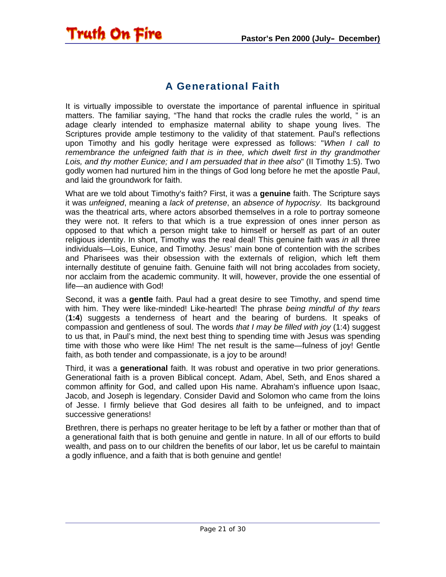# A Generational Faith

<span id="page-20-0"></span>Truth On Fire

It is virtually impossible to overstate the importance of parental influence in spiritual matters. The familiar saying, "The hand that rocks the cradle rules the world, " is an adage clearly intended to emphasize maternal ability to shape young lives. The Scriptures provide ample testimony to the validity of that statement. Paul's reflections upon Timothy and his godly heritage were expressed as follows: "*When I call to remembrance the unfeigned faith that is in thee, which dwelt first in thy grandmother Lois, and thy mother Eunice; and I am persuaded that in thee also*" (II Timothy 1:5). Two godly women had nurtured him in the things of God long before he met the apostle Paul, and laid the groundwork for faith.

What are we told about Timothy's faith? First, it was a **genuine** faith. The Scripture says it was *unfeigned*, meaning a *lack of pretense*, an *absence of hypocrisy*. Its background was the theatrical arts, where actors absorbed themselves in a role to portray someone they were not. It refers to that which is a true expression of ones inner person as opposed to that which a person might take to himself or herself as part of an outer religious identity. In short, Timothy was the real deal! This genuine faith was *in* all three individuals—Lois, Eunice, and Timothy. Jesus' main bone of contention with the scribes and Pharisees was their obsession with the externals of religion, which left them internally destitute of genuine faith. Genuine faith will not bring accolades from society, nor acclaim from the academic community. It will, however, provide the one essential of life—an audience with God!

Second, it was a **gentle** faith. Paul had a great desire to see Timothy, and spend time with him. They were like-minded! Like-hearted! The phrase *being mindful of thy tears* (**1:4**) suggests a tenderness of heart and the bearing of burdens. It speaks of compassion and gentleness of soul. The words *that I may be filled with joy* (1:4) suggest to us that, in Paul's mind, the next best thing to spending time with Jesus was spending time with those who were like Him! The net result is the same—fulness of joy! Gentle faith, as both tender and compassionate, is a joy to be around!

Third, it was a **generational** faith. It was robust and operative in two prior generations. Generational faith is a proven Biblical concept. Adam, Abel, Seth, and Enos shared a common affinity for God, and called upon His name. Abraham's influence upon Isaac, Jacob, and Joseph is legendary. Consider David and Solomon who came from the loins of Jesse. I firmly believe that God desires all faith to be unfeigned, and to impact successive generations!

Brethren, there is perhaps no greater heritage to be left by a father or mother than that of a generational faith that is both genuine and gentle in nature. In all of our efforts to build wealth, and pass on to our children the benefits of our labor, let us be careful to maintain a godly influence, and a faith that is both genuine and gentle!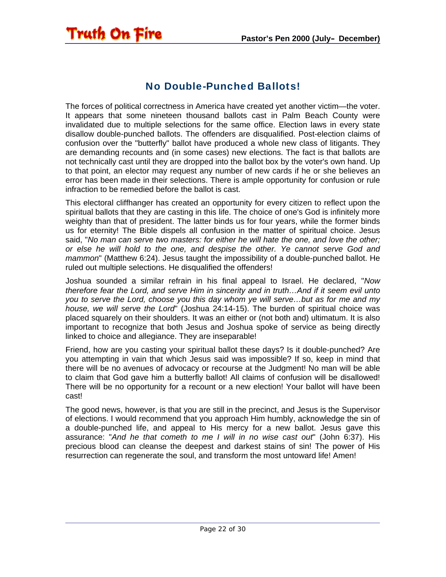# No Double-Punched Ballots!

<span id="page-21-0"></span>Truth On Fire

The forces of political correctness in America have created yet another victim—the voter. It appears that some nineteen thousand ballots cast in Palm Beach County were invalidated due to multiple selections for the same office. Election laws in every state disallow double-punched ballots. The offenders are disqualified. Post-election claims of confusion over the "butterfly" ballot have produced a whole new class of litigants. They are demanding recounts and (in some cases) new elections. The fact is that ballots are not technically cast until they are dropped into the ballot box by the voter's own hand. Up to that point, an elector may request any number of new cards if he or she believes an error has been made in their selections. There is ample opportunity for confusion or rule infraction to be remedied before the ballot is cast.

This electoral cliffhanger has created an opportunity for every citizen to reflect upon the spiritual ballots that they are casting in this life. The choice of one's God is infinitely more weighty than that of president. The latter binds us for four years, while the former binds us for eternity! The Bible dispels all confusion in the matter of spiritual choice. Jesus said, "*No man can serve two masters: for either he will hate the one, and love the other; or else he will hold to the one, and despise the other. Ye cannot serve God and mammon*" (Matthew 6:24). Jesus taught the impossibility of a double-punched ballot. He ruled out multiple selections. He disqualified the offenders!

Joshua sounded a similar refrain in his final appeal to Israel. He declared, "*Now therefore fear the Lord, and serve Him in sincerity and in truth…And if it seem evil unto you to serve the Lord, choose you this day whom ye will serve…but as for me and my house, we will serve the Lord*" (Joshua 24:14-15). The burden of spiritual choice was placed squarely on their shoulders. It was an either or (not both and) ultimatum. It is also important to recognize that both Jesus and Joshua spoke of service as being directly linked to choice and allegiance. They are inseparable!

Friend, how are you casting your spiritual ballot these days? Is it double-punched? Are you attempting in vain that which Jesus said was impossible? If so, keep in mind that there will be no avenues of advocacy or recourse at the Judgment! No man will be able to claim that God gave him a butterfly ballot! All claims of confusion will be disallowed! There will be no opportunity for a recount or a new election! Your ballot will have been cast!

The good news, however, is that you are still in the precinct, and Jesus is the Supervisor of elections. I would recommend that you approach Him humbly, acknowledge the sin of a double-punched life, and appeal to His mercy for a new ballot. Jesus gave this assurance: "*And he that cometh to me I will in no wise cast out*" (John 6:37). His precious blood can cleanse the deepest and darkest stains of sin! The power of His resurrection can regenerate the soul, and transform the most untoward life! Amen!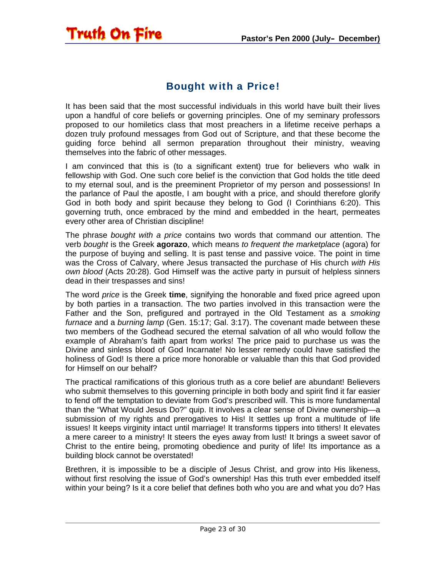# Bought with a Price!

<span id="page-22-0"></span>Truth On Fire

It has been said that the most successful individuals in this world have built their lives upon a handful of core beliefs or governing principles. One of my seminary professors proposed to our homiletics class that most preachers in a lifetime receive perhaps a dozen truly profound messages from God out of Scripture, and that these become the guiding force behind all sermon preparation throughout their ministry, weaving themselves into the fabric of other messages.

I am convinced that this is (to a significant extent) true for believers who walk in fellowship with God. One such core belief is the conviction that God holds the title deed to my eternal soul, and is the preeminent Proprietor of my person and possessions! In the parlance of Paul the apostle, I am bought with a price, and should therefore glorify God in both body and spirit because they belong to God (I Corinthians 6:20). This governing truth, once embraced by the mind and embedded in the heart, permeates every other area of Christian discipline!

The phrase *bought with a price* contains two words that command our attention. The verb *bought* is the Greek **agorazo**, which means *to frequent the marketplace* (agora) for the purpose of buying and selling. It is past tense and passive voice. The point in time was the Cross of Calvary, where Jesus transacted the purchase of His church *with His own blood* (Acts 20:28). God Himself was the active party in pursuit of helpless sinners dead in their trespasses and sins!

The word *price* is the Greek **time**, signifying the honorable and fixed price agreed upon by both parties in a transaction. The two parties involved in this transaction were the Father and the Son, prefigured and portrayed in the Old Testament as a *smoking furnace* and a *burning lamp* (Gen. 15:17; Gal. 3:17). The covenant made between these two members of the Godhead secured the eternal salvation of all who would follow the example of Abraham's faith apart from works! The price paid to purchase us was the Divine and sinless blood of God Incarnate! No lesser remedy could have satisfied the holiness of God! Is there a price more honorable or valuable than this that God provided for Himself on our behalf?

The practical ramifications of this glorious truth as a core belief are abundant! Believers who submit themselves to this governing principle in both body and spirit find it far easier to fend off the temptation to deviate from God's prescribed will. This is more fundamental than the "What Would Jesus Do?" quip. It involves a clear sense of Divine ownership—a submission of my rights and prerogatives to His! It settles up front a multitude of life issues! It keeps virginity intact until marriage! It transforms tippers into tithers! It elevates a mere career to a ministry! It steers the eyes away from lust! It brings a sweet savor of Christ to the entire being, promoting obedience and purity of life! Its importance as a building block cannot be overstated!

Brethren, it is impossible to be a disciple of Jesus Christ, and grow into His likeness, without first resolving the issue of God's ownership! Has this truth ever embedded itself within your being? Is it a core belief that defines both who you are and what you do? Has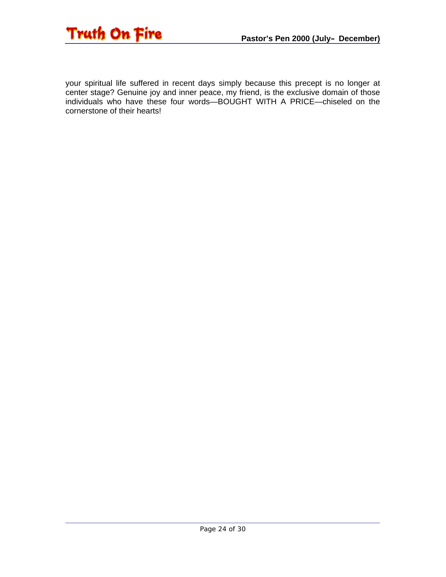

your spiritual life suffered in recent days simply because this precept is no longer at center stage? Genuine joy and inner peace, my friend, is the exclusive domain of those individuals who have these four words—BOUGHT WITH A PRICE—chiseled on the cornerstone of their hearts!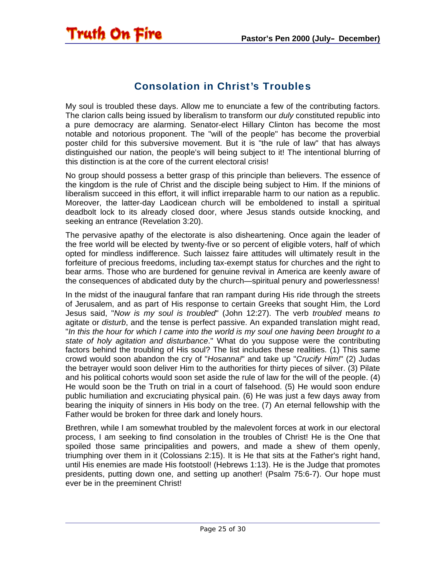<span id="page-24-0"></span>

## Consolation in Christ's Troubles

My soul is troubled these days. Allow me to enunciate a few of the contributing factors. The clarion calls being issued by liberalism to transform our *duly* constituted republic into a pure democracy are alarming. Senator-elect Hillary Clinton has become the most notable and notorious proponent. The "will of the people" has become the proverbial poster child for this subversive movement. But it is "the rule of law" that has always distinguished our nation, the people's will being subject to it! The intentional blurring of this distinction is at the core of the current electoral crisis!

No group should possess a better grasp of this principle than believers. The essence of the kingdom is the rule of Christ and the disciple being subject to Him. If the minions of liberalism succeed in this effort, it will inflict irreparable harm to our nation as a republic. Moreover, the latter-day Laodicean church will be emboldened to install a spiritual deadbolt lock to its already closed door, where Jesus stands outside knocking, and seeking an entrance (Revelation 3:20).

The pervasive apathy of the electorate is also disheartening. Once again the leader of the free world will be elected by twenty-five or so percent of eligible voters, half of which opted for mindless indifference. Such laissez faire attitudes will ultimately result in the forfeiture of precious freedoms, including tax-exempt status for churches and the right to bear arms. Those who are burdened for genuine revival in America are keenly aware of the consequences of abdicated duty by the church—spiritual penury and powerlessness!

In the midst of the inaugural fanfare that ran rampant during His ride through the streets of Jerusalem, and as part of His response to certain Greeks that sought Him, the Lord Jesus said, "*Now is my soul is troubled*" (John 12:27). The verb *troubled* means *to*  agitate or *disturb*, and the tense is perfect passive. An expanded translation might read, "*In this the hour for which I came into the world is my soul one having been brought to a state of holy agitation and disturbance*." What do you suppose were the contributing factors behind the troubling of His soul? The list includes these realities. (1) This same crowd would soon abandon the cry of "*Hosanna!*" and take up "*Crucify Him!*" (2) Judas the betrayer would soon deliver Him to the authorities for thirty pieces of silver. (3) Pilate and his political cohorts would soon set aside the rule of law for the will of the people. (4) He would soon be the Truth on trial in a court of falsehood. (5) He would soon endure public humiliation and excruciating physical pain. (6) He was just a few days away from bearing the iniquity of sinners in His body on the tree. (7) An eternal fellowship with the Father would be broken for three dark and lonely hours.

Brethren, while I am somewhat troubled by the malevolent forces at work in our electoral process, I am seeking to find consolation in the troubles of Christ! He is the One that spoiled those same principalities and powers, and made a shew of them openly, triumphing over them in it (Colossians 2:15). It is He that sits at the Father's right hand, until His enemies are made His footstool! (Hebrews 1:13). He is the Judge that promotes presidents, putting down one, and setting up another! (Psalm 75:6-7). Our hope must ever be in the preeminent Christ!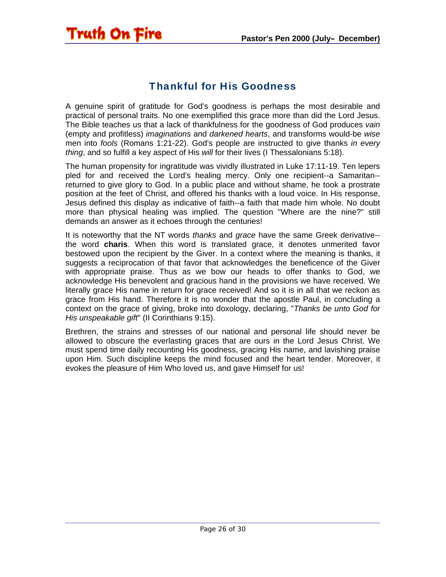## Thankful for His Goodness

<span id="page-25-0"></span>Truth On Fire

A genuine spirit of gratitude for God's goodness is perhaps the most desirable and practical of personal traits. No one exemplified this grace more than did the Lord Jesus. The Bible teaches us that a lack of thankfulness for the goodness of God produces *vain* (empty and profitless) *imaginations* and *darkened hearts*, and transforms would-be *wise* men into *fools* (Romans 1:21-22). God's people are instructed to give thanks *in every thing*, and so fulfill a key aspect of His *will* for their lives (I Thessalonians 5:18).

The human propensity for ingratitude was vividly illustrated in Luke 17:11-19. Ten lepers pled for and received the Lord's healing mercy. Only one recipient--a Samaritan- returned to give glory to God. In a public place and without shame, he took a prostrate position at the feet of Christ, and offered his thanks with a loud voice. In His response, Jesus defined this display as indicative of faith--a faith that made him whole. No doubt more than physical healing was implied. The question "Where are the nine?" still demands an answer as it echoes through the centuries!

It is noteworthy that the NT words *thanks* and *grace* have the same Greek derivative- the word **charis**. When this word is translated grace, it denotes unmerited favor bestowed upon the recipient by the Giver. In a context where the meaning is thanks, it suggests a reciprocation of that favor that acknowledges the beneficence of the Giver with appropriate praise. Thus as we bow our heads to offer thanks to God, we acknowledge His benevolent and gracious hand in the provisions we have received. We literally grace His name in return for grace received! And so it is in all that we reckon as grace from His hand. Therefore it is no wonder that the apostle Paul, in concluding a context on the grace of giving, broke into doxology, declaring, "*Thanks be unto God for His unspeakable gift*" (II Corinthians 9:15).

Brethren, the strains and stresses of our national and personal life should never be allowed to obscure the everlasting graces that are ours in the Lord Jesus Christ. We must spend time daily recounting His goodness, gracing His name, and lavishing praise upon Him. Such discipline keeps the mind focused and the heart tender. Moreover, it evokes the pleasure of Him Who loved us, and gave Himself for us!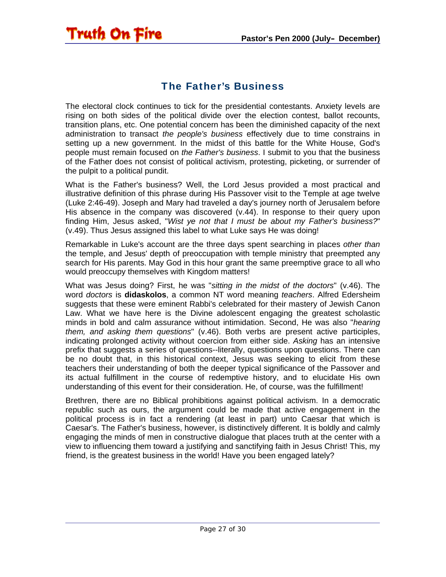# The Father's Business

<span id="page-26-0"></span>**Truth On Fire** 

The electoral clock continues to tick for the presidential contestants. Anxiety levels are rising on both sides of the political divide over the election contest, ballot recounts, transition plans, etc. One potential concern has been the diminished capacity of the next administration to transact *the people's business* effectively due to time constrains in setting up a new government. In the midst of this battle for the White House, God's people must remain focused on *the Father's business*. I submit to you that the business of the Father does not consist of political activism, protesting, picketing, or surrender of the pulpit to a political pundit.

What is the Father's business? Well, the Lord Jesus provided a most practical and illustrative definition of this phrase during His Passover visit to the Temple at age twelve (Luke 2:46-49). Joseph and Mary had traveled a day's journey north of Jerusalem before His absence in the company was discovered (v.44). In response to their query upon finding Him, Jesus asked, "*Wist ye not that I must be about my Father's business?*" (v.49). Thus Jesus assigned this label to what Luke says He was doing!

Remarkable in Luke's account are the three days spent searching in places *other than* the temple, and Jesus' depth of preoccupation with temple ministry that preempted any search for His parents. May God in this hour grant the same preemptive grace to all who would preoccupy themselves with Kingdom matters!

What was Jesus doing? First, he was "*sitting in the midst of the doctors*" (v.46). The word *doctors* is **didaskolos**, a common NT word meaning *teachers*. Alfred Edersheim suggests that these were eminent Rabbi's celebrated for their mastery of Jewish Canon Law. What we have here is the Divine adolescent engaging the greatest scholastic minds in bold and calm assurance without intimidation. Second, He was also "*hearing them, and asking them questions*" (v.46). Both verbs are present active participles, indicating prolonged activity without coercion from either side. *Asking* has an intensive prefix that suggests a series of questions--literally, questions upon questions. There can be no doubt that, in this historical context, Jesus was seeking to elicit from these teachers their understanding of both the deeper typical significance of the Passover and its actual fulfillment in the course of redemptive history, and to elucidate His own understanding of this event for their consideration. He, of course, was the fulfillment!

Brethren, there are no Biblical prohibitions against political activism. In a democratic republic such as ours, the argument could be made that active engagement in the political process is in fact a rendering (at least in part) unto Caesar that which is Caesar's. The Father's business, however, is distinctively different. It is boldly and calmly engaging the minds of men in constructive dialogue that places truth at the center with a view to influencing them toward a justifying and sanctifying faith in Jesus Christ! This, my friend, is the greatest business in the world! Have you been engaged lately?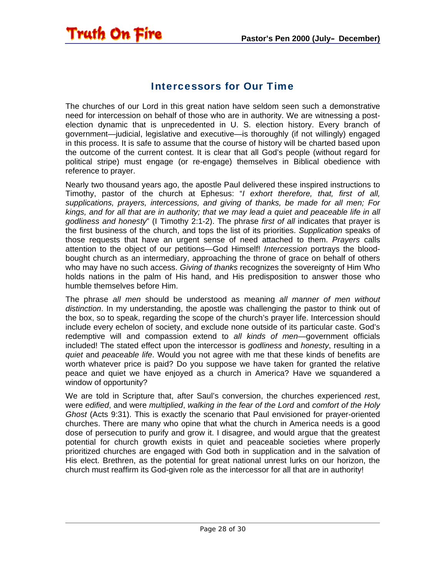#### Intercessors for Our Time

<span id="page-27-0"></span>Truth On Fire

The churches of our Lord in this great nation have seldom seen such a demonstrative need for intercession on behalf of those who are in authority. We are witnessing a postelection dynamic that is unprecedented in U. S. election history. Every branch of government—judicial, legislative and executive—is thoroughly (if not willingly) engaged in this process. It is safe to assume that the course of history will be charted based upon the outcome of the current contest. It is clear that all God's people (without regard for political stripe) must engage (or re-engage) themselves in Biblical obedience with reference to prayer.

Nearly two thousand years ago, the apostle Paul delivered these inspired instructions to Timothy, pastor of the church at Ephesus: "*I exhort therefore, that, first of all, supplications, prayers, intercessions, and giving of thanks, be made for all men; For kings, and for all that are in authority; that we may lead a quiet and peaceable life in all godliness and honesty*" (I Timothy 2:1-2). The phrase *first of all* indicates that prayer is the first business of the church, and tops the list of its priorities. *Supplication* speaks of those requests that have an urgent sense of need attached to them. *Prayers* calls attention to the object of our petitions—God Himself! *Intercession* portrays the bloodbought church as an intermediary, approaching the throne of grace on behalf of others who may have no such access. *Giving of thanks* recognizes the sovereignty of Him Who holds nations in the palm of His hand, and His predisposition to answer those who humble themselves before Him.

The phrase *all men* should be understood as meaning *all manner of men without distinction*. In my understanding, the apostle was challenging the pastor to think out of the box, so to speak, regarding the scope of the church's prayer life. Intercession should include every echelon of society, and exclude none outside of its particular caste. God's redemptive will and compassion extend to *all kinds of men*—government officials included! The stated effect upon the intercessor is *godliness* and *honesty*, resulting in a *quiet* and *peaceable life*. Would you not agree with me that these kinds of benefits are worth whatever price is paid? Do you suppose we have taken for granted the relative peace and quiet we have enjoyed as a church in America? Have we squandered a window of opportunity?

We are told in Scripture that, after Saul's conversion, the churches experienced *res*t, were *edified*, and were *multiplied*, *walking in the fear of the Lord* and *comfort of the Holy Ghost* (Acts 9:31). This is exactly the scenario that Paul envisioned for prayer-oriented churches. There are many who opine that what the church in America needs is a good dose of persecution to purify and grow it. I disagree, and would argue that the greatest potential for church growth exists in quiet and peaceable societies where properly prioritized churches are engaged with God both in supplication and in the salvation of His elect. Brethren, as the potential for great national unrest lurks on our horizon, the church must reaffirm its God-given role as the intercessor for all that are in authority!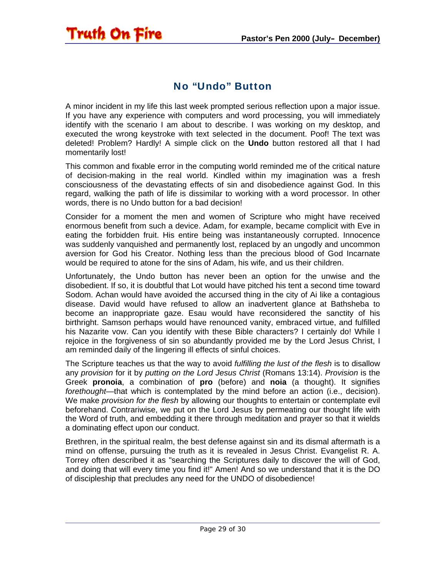#### No "Undo" Button

<span id="page-28-0"></span>A minor incident in my life this last week prompted serious reflection upon a major issue. If you have any experience with computers and word processing, you will immediately identify with the scenario I am about to describe. I was working on my desktop, and executed the wrong keystroke with text selected in the document. Poof! The text was deleted! Problem? Hardly! A simple click on the **Undo** button restored all that I had momentarily lost!

This common and fixable error in the computing world reminded me of the critical nature of decision-making in the real world. Kindled within my imagination was a fresh consciousness of the devastating effects of sin and disobedience against God. In this regard, walking the path of life is dissimilar to working with a word processor. In other words, there is no Undo button for a bad decision!

Consider for a moment the men and women of Scripture who might have received enormous benefit from such a device. Adam, for example, became complicit with Eve in eating the forbidden fruit. His entire being was instantaneously corrupted. Innocence was suddenly vanquished and permanently lost, replaced by an ungodly and uncommon aversion for God his Creator. Nothing less than the precious blood of God Incarnate would be required to atone for the sins of Adam, his wife, and us their children.

Unfortunately, the Undo button has never been an option for the unwise and the disobedient. If so, it is doubtful that Lot would have pitched his tent a second time toward Sodom. Achan would have avoided the accursed thing in the city of Ai like a contagious disease. David would have refused to allow an inadvertent glance at Bathsheba to become an inappropriate gaze. Esau would have reconsidered the sanctity of his birthright. Samson perhaps would have renounced vanity, embraced virtue, and fulfilled his Nazarite vow. Can you identify with these Bible characters? I certainly do! While I rejoice in the forgiveness of sin so abundantly provided me by the Lord Jesus Christ, I am reminded daily of the lingering ill effects of sinful choices.

The Scripture teaches us that the way to avoid *fulfilling the lust of the flesh* is to disallow any *provision* for it by *putting on the Lord Jesus Christ* (Romans 13:14). *Provision* is the Greek **pronoia**, a combination of **pro** (before) and **noia** (a thought). It signifies *forethought*—that which is contemplated by the mind before an action (i.e., decision). We make *provision for the flesh* by allowing our thoughts to entertain or contemplate evil beforehand. Contrariwise, we put on the Lord Jesus by permeating our thought life with the Word of truth, and embedding it there through meditation and prayer so that it wields a dominating effect upon our conduct.

Brethren, in the spiritual realm, the best defense against sin and its dismal aftermath is a mind on offense, pursuing the truth as it is revealed in Jesus Christ. Evangelist R. A. Torrey often described it as "searching the Scriptures daily to discover the will of God, and doing that will every time you find it!" Amen! And so we understand that it is the DO of discipleship that precludes any need for the UNDO of disobedience!